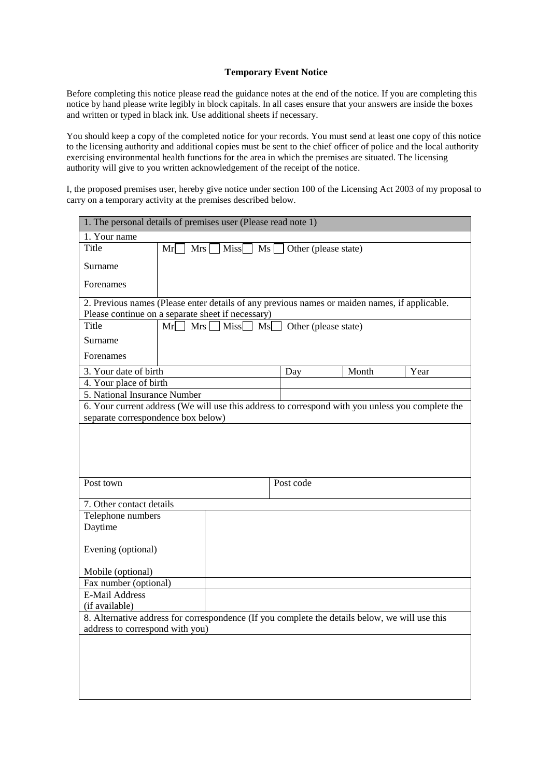## **Temporary Event Notice**

Before completing this notice please read the guidance notes at the end of the notice. If you are completing this notice by hand please write legibly in block capitals. In all cases ensure that your answers are inside the boxes and written or typed in black ink. Use additional sheets if necessary.

You should keep a copy of the completed notice for your records. You must send at least one copy of this notice to the licensing authority and additional copies must be sent to the chief officer of police and the local authority exercising environmental health functions for the area in which the premises are situated. The licensing authority will give to you written acknowledgement of the receipt of the notice.

I, the proposed premises user, hereby give notice under section 100 of the Licensing Act 2003 of my proposal to carry on a temporary activity at the premises described below.

| 1. The personal details of premises user (Please read note 1) |                                                                                                                                                    |           |                      |      |
|---------------------------------------------------------------|----------------------------------------------------------------------------------------------------------------------------------------------------|-----------|----------------------|------|
| 1. Your name                                                  |                                                                                                                                                    |           |                      |      |
| Title                                                         | $Mrs$ $Miss$ $Ms$<br>Mr                                                                                                                            |           | Other (please state) |      |
| Surname                                                       |                                                                                                                                                    |           |                      |      |
| Forenames                                                     |                                                                                                                                                    |           |                      |      |
|                                                               | 2. Previous names (Please enter details of any previous names or maiden names, if applicable.<br>Please continue on a separate sheet if necessary) |           |                      |      |
| Title                                                         | Mr<br>$\top$ Mrs<br>$\exists$ Miss                                                                                                                 | l Msl     | Other (please state) |      |
| Surname                                                       |                                                                                                                                                    |           |                      |      |
| Forenames                                                     |                                                                                                                                                    |           |                      |      |
|                                                               |                                                                                                                                                    |           |                      |      |
| 3. Your date of birth                                         |                                                                                                                                                    | Day       | Month                | Year |
| 4. Your place of birth                                        |                                                                                                                                                    |           |                      |      |
| 5. National Insurance Number                                  |                                                                                                                                                    |           |                      |      |
|                                                               | 6. Your current address (We will use this address to correspond with you unless you complete the                                                   |           |                      |      |
| separate correspondence box below)                            |                                                                                                                                                    |           |                      |      |
|                                                               |                                                                                                                                                    |           |                      |      |
|                                                               |                                                                                                                                                    |           |                      |      |
|                                                               |                                                                                                                                                    |           |                      |      |
|                                                               |                                                                                                                                                    |           |                      |      |
| Post town                                                     |                                                                                                                                                    | Post code |                      |      |
| 7. Other contact details                                      |                                                                                                                                                    |           |                      |      |
| Telephone numbers                                             |                                                                                                                                                    |           |                      |      |
| Daytime                                                       |                                                                                                                                                    |           |                      |      |
|                                                               |                                                                                                                                                    |           |                      |      |
| Evening (optional)                                            |                                                                                                                                                    |           |                      |      |
| Mobile (optional)                                             |                                                                                                                                                    |           |                      |      |
| Fax number (optional)                                         |                                                                                                                                                    |           |                      |      |
| <b>E-Mail Address</b>                                         |                                                                                                                                                    |           |                      |      |
| (if available)                                                |                                                                                                                                                    |           |                      |      |
|                                                               | 8. Alternative address for correspondence (If you complete the details below, we will use this                                                     |           |                      |      |
| address to correspond with you)                               |                                                                                                                                                    |           |                      |      |
|                                                               |                                                                                                                                                    |           |                      |      |
|                                                               |                                                                                                                                                    |           |                      |      |
|                                                               |                                                                                                                                                    |           |                      |      |
|                                                               |                                                                                                                                                    |           |                      |      |
|                                                               |                                                                                                                                                    |           |                      |      |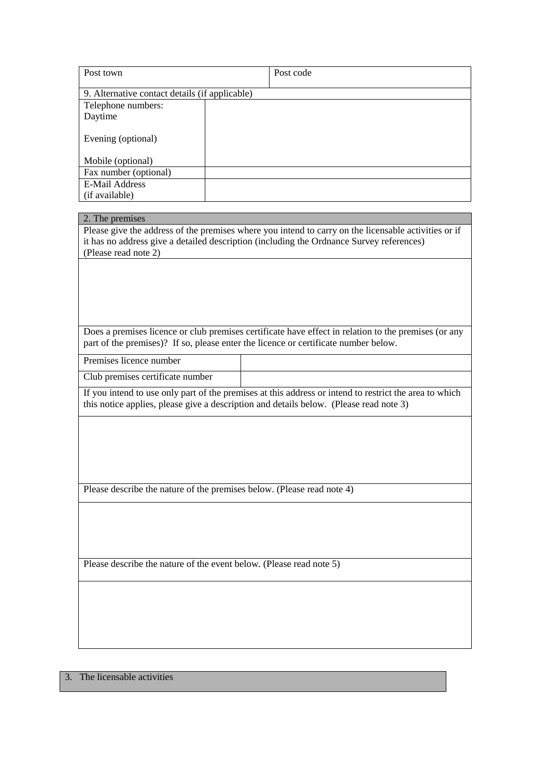| Post town                                      | Post code |  |
|------------------------------------------------|-----------|--|
|                                                |           |  |
| 9. Alternative contact details (if applicable) |           |  |
| Telephone numbers:                             |           |  |
| Daytime                                        |           |  |
| Evening (optional)                             |           |  |
| Mobile (optional)                              |           |  |
| Fax number (optional)                          |           |  |
| <b>E-Mail Address</b>                          |           |  |
| (if available)                                 |           |  |

# 2. The premises

Please give the address of the premises where you intend to carry on the licensable activities or if it has no address give a detailed description (including the Ordnance Survey references) (Please read note 2)

Does a premises licence or club premises certificate have effect in relation to the premises (or any part of the premises)? If so, please enter the licence or certificate number below.

Premises licence number

Club premises certificate number

If you intend to use only part of the premises at this address or intend to restrict the area to which this notice applies, please give a description and details below. (Please read note 3)

Please describe the nature of the premises below. (Please read note 4)

Please describe the nature of the event below. (Please read note 5)

3. The licensable activities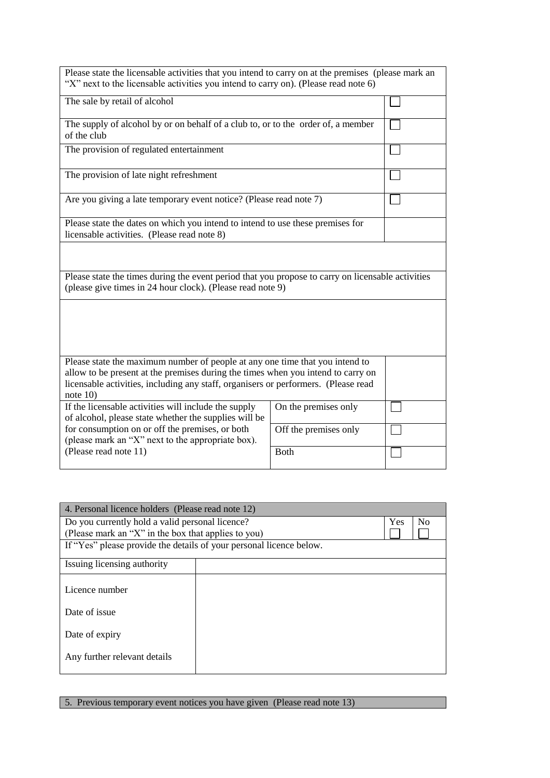| Please state the licensable activities that you intend to carry on at the premises (please mark an<br>"X" next to the licensable activities you intend to carry on). (Please read note 6)                                                                          |                       |  |  |
|--------------------------------------------------------------------------------------------------------------------------------------------------------------------------------------------------------------------------------------------------------------------|-----------------------|--|--|
| The sale by retail of alcohol                                                                                                                                                                                                                                      |                       |  |  |
| The supply of alcohol by or on behalf of a club to, or to the order of, a member<br>of the club                                                                                                                                                                    |                       |  |  |
| The provision of regulated entertainment                                                                                                                                                                                                                           |                       |  |  |
| The provision of late night refreshment                                                                                                                                                                                                                            |                       |  |  |
| Are you giving a late temporary event notice? (Please read note 7)                                                                                                                                                                                                 |                       |  |  |
| Please state the dates on which you intend to intend to use these premises for<br>licensable activities. (Please read note 8)                                                                                                                                      |                       |  |  |
|                                                                                                                                                                                                                                                                    |                       |  |  |
| Please state the times during the event period that you propose to carry on licensable activities<br>(please give times in 24 hour clock). (Please read note 9)                                                                                                    |                       |  |  |
|                                                                                                                                                                                                                                                                    |                       |  |  |
|                                                                                                                                                                                                                                                                    |                       |  |  |
| Please state the maximum number of people at any one time that you intend to<br>allow to be present at the premises during the times when you intend to carry on<br>licensable activities, including any staff, organisers or performers. (Please read<br>note 10) |                       |  |  |
| If the licensable activities will include the supply<br>of alcohol, please state whether the supplies will be                                                                                                                                                      | On the premises only  |  |  |
| for consumption on or off the premises, or both<br>(please mark an "X" next to the appropriate box).                                                                                                                                                               | Off the premises only |  |  |
| (Please read note 11)                                                                                                                                                                                                                                              | <b>Both</b>           |  |  |

| 4. Personal licence holders (Please read note 12)                   |  |     |                |
|---------------------------------------------------------------------|--|-----|----------------|
| Do you currently hold a valid personal licence?                     |  | Yes | N <sub>0</sub> |
| (Please mark an "X" in the box that applies to you)                 |  |     |                |
| If "Yes" please provide the details of your personal licence below. |  |     |                |
| Issuing licensing authority                                         |  |     |                |
| Licence number                                                      |  |     |                |
|                                                                     |  |     |                |
| Date of issue                                                       |  |     |                |
| Date of expiry                                                      |  |     |                |
|                                                                     |  |     |                |
| Any further relevant details                                        |  |     |                |
|                                                                     |  |     |                |

5. Previous temporary event notices you have given (Please read note 13)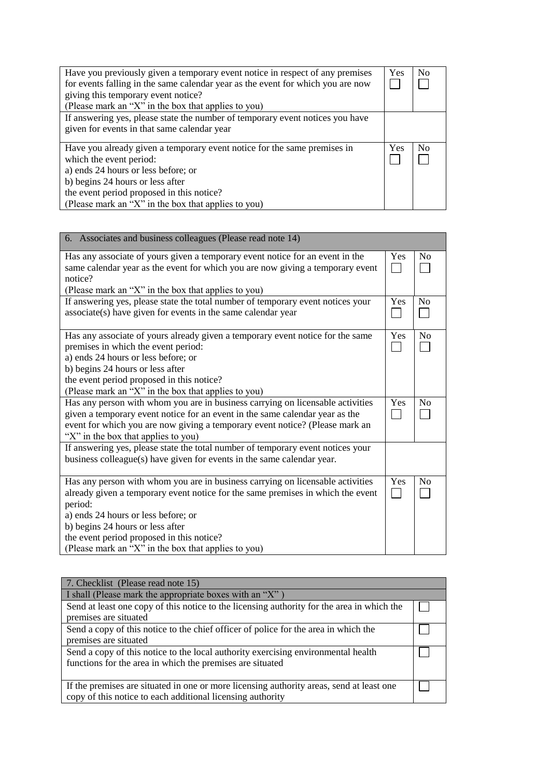| Have you previously given a temporary event notice in respect of any premises   | Yes | No             |
|---------------------------------------------------------------------------------|-----|----------------|
| for events falling in the same calendar year as the event for which you are now |     |                |
| giving this temporary event notice?                                             |     |                |
| (Please mark an "X" in the box that applies to you)                             |     |                |
| If answering yes, please state the number of temporary event notices you have   |     |                |
| given for events in that same calendar year                                     |     |                |
|                                                                                 |     |                |
| Have you already given a temporary event notice for the same premises in        | Yes | N <sub>0</sub> |
| which the event period:                                                         |     |                |
| a) ends 24 hours or less before; or                                             |     |                |
| b) begins 24 hours or less after                                                |     |                |
| the event period proposed in this notice?                                       |     |                |
| (Please mark an "X" in the box that applies to you)                             |     |                |

| 6. Associates and business colleagues (Please read note 14)                                                                                                                                                                                                                                          |                        |                |
|------------------------------------------------------------------------------------------------------------------------------------------------------------------------------------------------------------------------------------------------------------------------------------------------------|------------------------|----------------|
| Has any associate of yours given a temporary event notice for an event in the<br>same calendar year as the event for which you are now giving a temporary event<br>notice?                                                                                                                           | Yes<br><b>Contract</b> | N <sub>0</sub> |
| (Please mark an "X" in the box that applies to you)                                                                                                                                                                                                                                                  |                        |                |
| If answering yes, please state the total number of temporary event notices your<br>associate(s) have given for events in the same calendar year                                                                                                                                                      | Yes                    | No             |
| Has any associate of yours already given a temporary event notice for the same<br>premises in which the event period:<br>a) ends 24 hours or less before; or<br>b) begins 24 hours or less after<br>the event period proposed in this notice?<br>(Please mark an "X" in the box that applies to you) | Yes                    | No             |
| Has any person with whom you are in business carrying on licensable activities<br>given a temporary event notice for an event in the same calendar year as the<br>event for which you are now giving a temporary event notice? (Please mark an<br>"X" in the box that applies to you)                | Yes                    | No             |
| If answering yes, please state the total number of temporary event notices your<br>business colleague(s) have given for events in the same calendar year.                                                                                                                                            |                        |                |
| Has any person with whom you are in business carrying on licensable activities<br>already given a temporary event notice for the same premises in which the event<br>period:<br>a) ends 24 hours or less before; or<br>b) begins 24 hours or less after<br>the event period proposed in this notice? | Yes<br><b>College</b>  | No             |
| (Please mark an "X" in the box that applies to you)                                                                                                                                                                                                                                                  |                        |                |

| 7. Checklist (Please read note 15)                                                         |  |
|--------------------------------------------------------------------------------------------|--|
| I shall (Please mark the appropriate boxes with an "X")                                    |  |
| Send at least one copy of this notice to the licensing authority for the area in which the |  |
| premises are situated                                                                      |  |
| Send a copy of this notice to the chief officer of police for the area in which the        |  |
| premises are situated                                                                      |  |
| Send a copy of this notice to the local authority exercising environmental health          |  |
| functions for the area in which the premises are situated                                  |  |
|                                                                                            |  |
| If the premises are situated in one or more licensing authority areas, send at least one   |  |
| copy of this notice to each additional licensing authority                                 |  |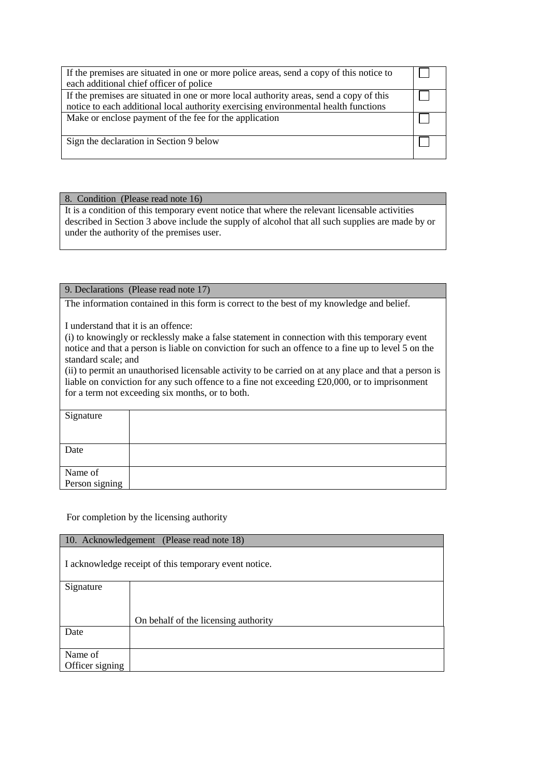| If the premises are situated in one or more police areas, send a copy of this notice to<br>each additional chief officer of police                                            |  |
|-------------------------------------------------------------------------------------------------------------------------------------------------------------------------------|--|
| If the premises are situated in one or more local authority areas, send a copy of this<br>notice to each additional local authority exercising environmental health functions |  |
| Make or enclose payment of the fee for the application                                                                                                                        |  |
| Sign the declaration in Section 9 below                                                                                                                                       |  |

# 8. Condition (Please read note 16)

It is a condition of this temporary event notice that where the relevant licensable activities described in Section 3 above include the supply of alcohol that all such supplies are made by or under the authority of the premises user.

# 9. Declarations (Please read note 17)

The information contained in this form is correct to the best of my knowledge and belief.

I understand that it is an offence:

(i) to knowingly or recklessly make a false statement in connection with this temporary event notice and that a person is liable on conviction for such an offence to a fine up to level 5 on the standard scale; and

(ii) to permit an unauthorised licensable activity to be carried on at any place and that a person is liable on conviction for any such offence to a fine not exceeding £20,000, or to imprisonment for a term not exceeding six months, or to both.

| Signature                 |  |
|---------------------------|--|
|                           |  |
|                           |  |
|                           |  |
| Date                      |  |
|                           |  |
|                           |  |
|                           |  |
| Name of<br>Person signing |  |

For completion by the licensing authority

| 10. Acknowledgement (Please read note 18)             |                                      |  |
|-------------------------------------------------------|--------------------------------------|--|
| I acknowledge receipt of this temporary event notice. |                                      |  |
| Signature                                             |                                      |  |
|                                                       |                                      |  |
|                                                       | On behalf of the licensing authority |  |
| Date                                                  |                                      |  |
|                                                       |                                      |  |
| Name of                                               |                                      |  |
| Officer signing                                       |                                      |  |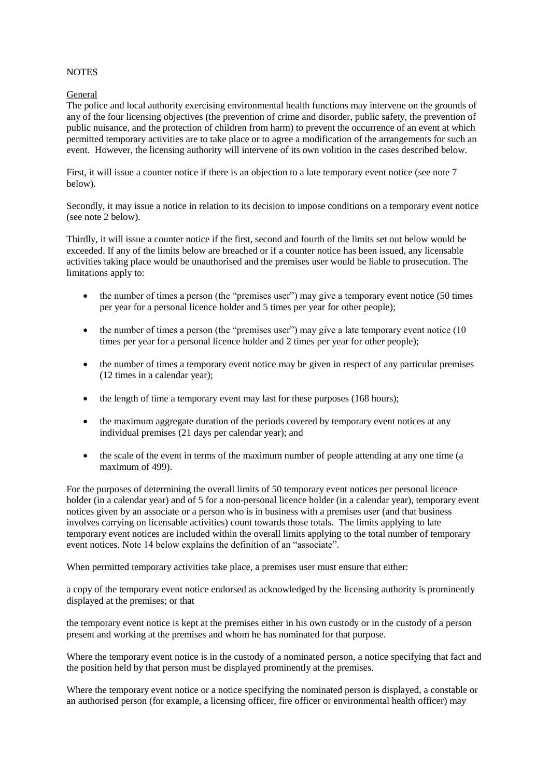## **NOTES**

## General

The police and local authority exercising environmental health functions may intervene on the grounds of any of the four licensing objectives (the prevention of crime and disorder, public safety, the prevention of public nuisance, and the protection of children from harm) to prevent the occurrence of an event at which permitted temporary activities are to take place or to agree a modification of the arrangements for such an event. However, the licensing authority will intervene of its own volition in the cases described below.

First, it will issue a counter notice if there is an objection to a late temporary event notice (see note 7 below).

Secondly, it may issue a notice in relation to its decision to impose conditions on a temporary event notice (see note 2 below).

Thirdly, it will issue a counter notice if the first, second and fourth of the limits set out below would be exceeded. If any of the limits below are breached or if a counter notice has been issued, any licensable activities taking place would be unauthorised and the premises user would be liable to prosecution. The limitations apply to:

- $\bullet$  the number of times a person (the "premises user") may give a temporary event notice (50 times per year for a personal licence holder and 5 times per year for other people);
- $\bullet$  the number of times a person (the "premises user") may give a late temporary event notice (10 times per year for a personal licence holder and 2 times per year for other people);
- the number of times a temporary event notice may be given in respect of any particular premises (12 times in a calendar year);
- the length of time a temporary event may last for these purposes (168 hours);
- the maximum aggregate duration of the periods covered by temporary event notices at any individual premises (21 days per calendar year); and
- the scale of the event in terms of the maximum number of people attending at any one time (a maximum of 499).

For the purposes of determining the overall limits of 50 temporary event notices per personal licence holder (in a calendar year) and of 5 for a non-personal licence holder (in a calendar year), temporary event notices given by an associate or a person who is in business with a premises user (and that business involves carrying on licensable activities) count towards those totals. The limits applying to late temporary event notices are included within the overall limits applying to the total number of temporary event notices. Note 14 below explains the definition of an "associate".

When permitted temporary activities take place, a premises user must ensure that either:

a copy of the temporary event notice endorsed as acknowledged by the licensing authority is prominently displayed at the premises; or that

the temporary event notice is kept at the premises either in his own custody or in the custody of a person present and working at the premises and whom he has nominated for that purpose.

Where the temporary event notice is in the custody of a nominated person, a notice specifying that fact and the position held by that person must be displayed prominently at the premises.

Where the temporary event notice or a notice specifying the nominated person is displayed, a constable or an authorised person (for example, a licensing officer, fire officer or environmental health officer) may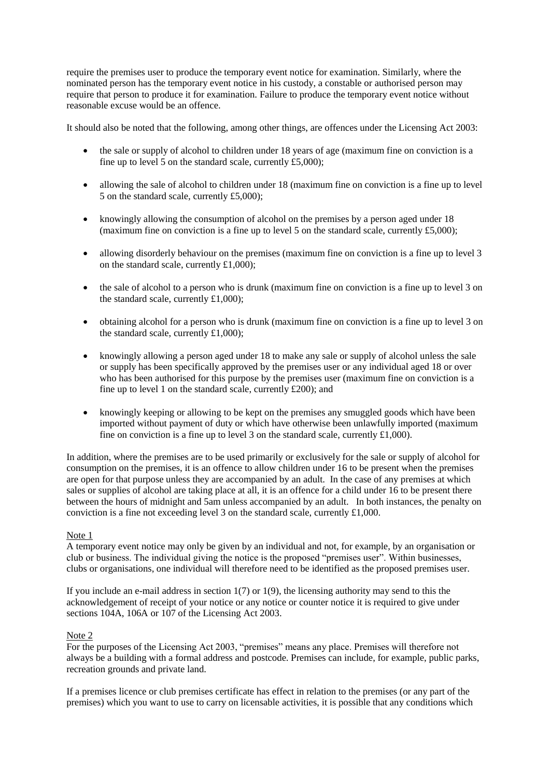require the premises user to produce the temporary event notice for examination. Similarly, where the nominated person has the temporary event notice in his custody, a constable or authorised person may require that person to produce it for examination. Failure to produce the temporary event notice without reasonable excuse would be an offence.

It should also be noted that the following, among other things, are offences under the Licensing Act 2003:

- the sale or supply of alcohol to children under 18 years of age (maximum fine on conviction is a fine up to level 5 on the standard scale, currently  $£5,000$ ;
- allowing the sale of alcohol to children under 18 (maximum fine on conviction is a fine up to level 5 on the standard scale, currently £5,000);
- knowingly allowing the consumption of alcohol on the premises by a person aged under 18 (maximum fine on conviction is a fine up to level 5 on the standard scale, currently £5,000);
- allowing disorderly behaviour on the premises (maximum fine on conviction is a fine up to level 3 on the standard scale, currently £1,000);
- the sale of alcohol to a person who is drunk (maximum fine on conviction is a fine up to level 3 on the standard scale, currently  $£1,000$ ;
- obtaining alcohol for a person who is drunk (maximum fine on conviction is a fine up to level 3 on the standard scale, currently £1,000);
- knowingly allowing a person aged under 18 to make any sale or supply of alcohol unless the sale or supply has been specifically approved by the premises user or any individual aged 18 or over who has been authorised for this purpose by the premises user (maximum fine on conviction is a fine up to level 1 on the standard scale, currently £200); and
- knowingly keeping or allowing to be kept on the premises any smuggled goods which have been imported without payment of duty or which have otherwise been unlawfully imported (maximum fine on conviction is a fine up to level 3 on the standard scale, currently  $\pounds1,000$ .

In addition, where the premises are to be used primarily or exclusively for the sale or supply of alcohol for consumption on the premises, it is an offence to allow children under 16 to be present when the premises are open for that purpose unless they are accompanied by an adult. In the case of any premises at which sales or supplies of alcohol are taking place at all, it is an offence for a child under 16 to be present there between the hours of midnight and 5am unless accompanied by an adult. In both instances, the penalty on conviction is a fine not exceeding level 3 on the standard scale, currently £1,000.

### Note 1

A temporary event notice may only be given by an individual and not, for example, by an organisation or club or business. The individual giving the notice is the proposed "premises user". Within businesses, clubs or organisations, one individual will therefore need to be identified as the proposed premises user.

If you include an e-mail address in section  $1(7)$  or  $1(9)$ , the licensing authority may send to this the acknowledgement of receipt of your notice or any notice or counter notice it is required to give under sections 104A, 106A or 107 of the Licensing Act 2003.

### Note 2

For the purposes of the Licensing Act 2003, "premises" means any place. Premises will therefore not always be a building with a formal address and postcode. Premises can include, for example, public parks, recreation grounds and private land.

If a premises licence or club premises certificate has effect in relation to the premises (or any part of the premises) which you want to use to carry on licensable activities, it is possible that any conditions which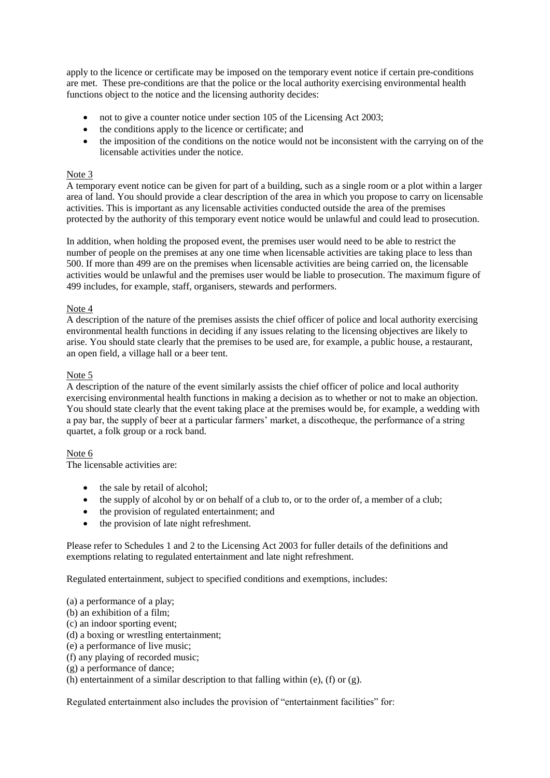apply to the licence or certificate may be imposed on the temporary event notice if certain pre-conditions are met. These pre-conditions are that the police or the local authority exercising environmental health functions object to the notice and the licensing authority decides:

- not to give a counter notice under section 105 of the Licensing Act 2003;
- the conditions apply to the licence or certificate; and
- the imposition of the conditions on the notice would not be inconsistent with the carrying on of the licensable activities under the notice.

# Note 3

A temporary event notice can be given for part of a building, such as a single room or a plot within a larger area of land. You should provide a clear description of the area in which you propose to carry on licensable activities. This is important as any licensable activities conducted outside the area of the premises protected by the authority of this temporary event notice would be unlawful and could lead to prosecution.

In addition, when holding the proposed event, the premises user would need to be able to restrict the number of people on the premises at any one time when licensable activities are taking place to less than 500. If more than 499 are on the premises when licensable activities are being carried on, the licensable activities would be unlawful and the premises user would be liable to prosecution. The maximum figure of 499 includes, for example, staff, organisers, stewards and performers.

## Note 4

A description of the nature of the premises assists the chief officer of police and local authority exercising environmental health functions in deciding if any issues relating to the licensing objectives are likely to arise. You should state clearly that the premises to be used are, for example, a public house, a restaurant, an open field, a village hall or a beer tent.

### Note 5

A description of the nature of the event similarly assists the chief officer of police and local authority exercising environmental health functions in making a decision as to whether or not to make an objection. You should state clearly that the event taking place at the premises would be, for example, a wedding with a pay bar, the supply of beer at a particular farmers' market, a discotheque, the performance of a string quartet, a folk group or a rock band.

# Note 6

The licensable activities are:

- the sale by retail of alcohol;
- the supply of alcohol by or on behalf of a club to, or to the order of, a member of a club;
- the provision of regulated entertainment; and
- the provision of late night refreshment.

Please refer to Schedules 1 and 2 to the Licensing Act 2003 for fuller details of the definitions and exemptions relating to regulated entertainment and late night refreshment.

Regulated entertainment, subject to specified conditions and exemptions, includes:

(a) a performance of a play;

- (b) an exhibition of a film;
- (c) an indoor sporting event;
- (d) a boxing or wrestling entertainment;
- (e) a performance of live music;
- (f) any playing of recorded music;
- (g) a performance of dance;
- (h) entertainment of a similar description to that falling within (e), (f) or  $(g)$ .

Regulated entertainment also includes the provision of "entertainment facilities" for: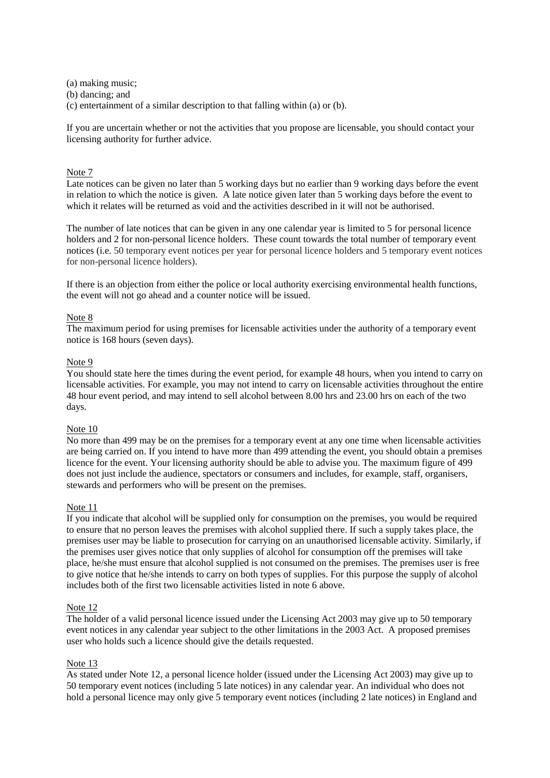(a) making music; (b) dancing; and (c) entertainment of a similar description to that falling within (a) or (b).

If you are uncertain whether or not the activities that you propose are licensable, you should contact your licensing authority for further advice.

## Note 7

Late notices can be given no later than 5 working days but no earlier than 9 working days before the event in relation to which the notice is given. A late notice given later than 5 working days before the event to which it relates will be returned as void and the activities described in it will not be authorised.

The number of late notices that can be given in any one calendar year is limited to 5 for personal licence holders and 2 for non-personal licence holders. These count towards the total number of temporary event notices (i.e. 50 temporary event notices per year for personal licence holders and 5 temporary event notices for non-personal licence holders).

If there is an objection from either the police or local authority exercising environmental health functions, the event will not go ahead and a counter notice will be issued.

### Note 8

The maximum period for using premises for licensable activities under the authority of a temporary event notice is 168 hours (seven days).

#### Note 9

You should state here the times during the event period, for example 48 hours, when you intend to carry on licensable activities. For example, you may not intend to carry on licensable activities throughout the entire 48 hour event period, and may intend to sell alcohol between 8.00 hrs and 23.00 hrs on each of the two days.

#### Note 10

No more than 499 may be on the premises for a temporary event at any one time when licensable activities are being carried on. If you intend to have more than 499 attending the event, you should obtain a premises licence for the event. Your licensing authority should be able to advise you. The maximum figure of 499 does not just include the audience, spectators or consumers and includes, for example, staff, organisers, stewards and performers who will be present on the premises.

#### Note 11

If you indicate that alcohol will be supplied only for consumption on the premises, you would be required to ensure that no person leaves the premises with alcohol supplied there. If such a supply takes place, the premises user may be liable to prosecution for carrying on an unauthorised licensable activity. Similarly, if the premises user gives notice that only supplies of alcohol for consumption off the premises will take place, he/she must ensure that alcohol supplied is not consumed on the premises. The premises user is free to give notice that he/she intends to carry on both types of supplies. For this purpose the supply of alcohol includes both of the first two licensable activities listed in note 6 above.

#### Note 12

The holder of a valid personal licence issued under the Licensing Act 2003 may give up to 50 temporary event notices in any calendar year subject to the other limitations in the 2003 Act. A proposed premises user who holds such a licence should give the details requested.

#### Note 13

As stated under Note 12, a personal licence holder (issued under the Licensing Act 2003) may give up to 50 temporary event notices (including 5 late notices) in any calendar year. An individual who does not hold a personal licence may only give 5 temporary event notices (including 2 late notices) in England and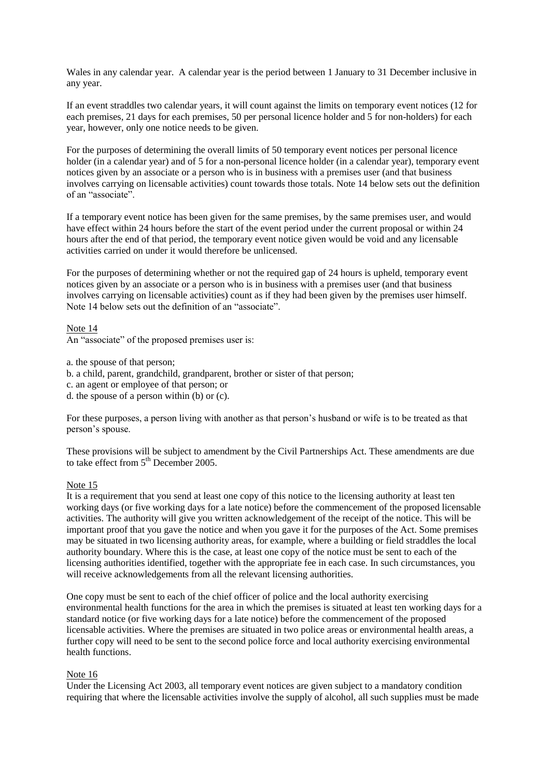Wales in any calendar year. A calendar year is the period between 1 January to 31 December inclusive in any year.

If an event straddles two calendar years, it will count against the limits on temporary event notices (12 for each premises, 21 days for each premises, 50 per personal licence holder and 5 for non-holders) for each year, however, only one notice needs to be given.

For the purposes of determining the overall limits of 50 temporary event notices per personal licence holder (in a calendar year) and of 5 for a non-personal licence holder (in a calendar year), temporary event notices given by an associate or a person who is in business with a premises user (and that business involves carrying on licensable activities) count towards those totals. Note 14 below sets out the definition of an "associate".

If a temporary event notice has been given for the same premises, by the same premises user, and would have effect within 24 hours before the start of the event period under the current proposal or within 24 hours after the end of that period, the temporary event notice given would be void and any licensable activities carried on under it would therefore be unlicensed.

For the purposes of determining whether or not the required gap of 24 hours is upheld, temporary event notices given by an associate or a person who is in business with a premises user (and that business involves carrying on licensable activities) count as if they had been given by the premises user himself. Note 14 below sets out the definition of an "associate".

#### Note 14

An "associate" of the proposed premises user is:

- a. the spouse of that person;
- b. a child, parent, grandchild, grandparent, brother or sister of that person;
- c. an agent or employee of that person; or
- d. the spouse of a person within (b) or (c).

For these purposes, a person living with another as that person's husband or wife is to be treated as that person's spouse.

These provisions will be subject to amendment by the Civil Partnerships Act. These amendments are due to take effect from  $5<sup>th</sup>$  December 2005.

### Note 15

It is a requirement that you send at least one copy of this notice to the licensing authority at least ten working days (or five working days for a late notice) before the commencement of the proposed licensable activities. The authority will give you written acknowledgement of the receipt of the notice. This will be important proof that you gave the notice and when you gave it for the purposes of the Act. Some premises may be situated in two licensing authority areas, for example, where a building or field straddles the local authority boundary. Where this is the case, at least one copy of the notice must be sent to each of the licensing authorities identified, together with the appropriate fee in each case. In such circumstances, you will receive acknowledgements from all the relevant licensing authorities.

One copy must be sent to each of the chief officer of police and the local authority exercising environmental health functions for the area in which the premises is situated at least ten working days for a standard notice (or five working days for a late notice) before the commencement of the proposed licensable activities. Where the premises are situated in two police areas or environmental health areas, a further copy will need to be sent to the second police force and local authority exercising environmental health functions.

## Note 16

Under the Licensing Act 2003, all temporary event notices are given subject to a mandatory condition requiring that where the licensable activities involve the supply of alcohol, all such supplies must be made